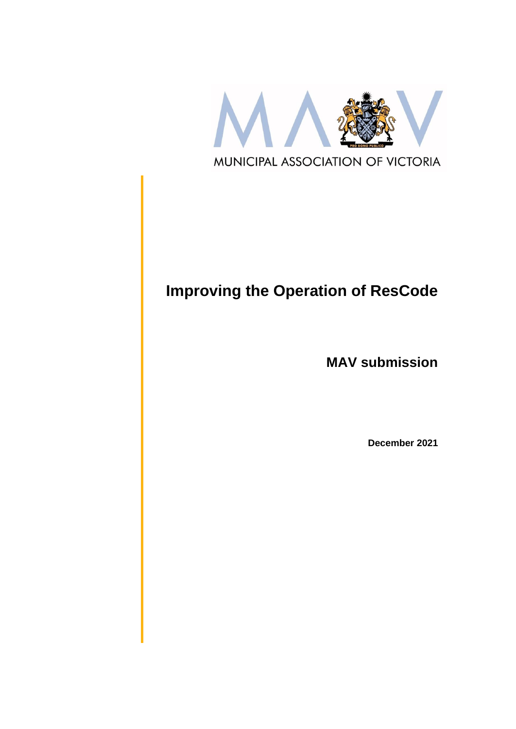

# **Improving the Operation of ResCode**

**MAV submission**

**December 2021**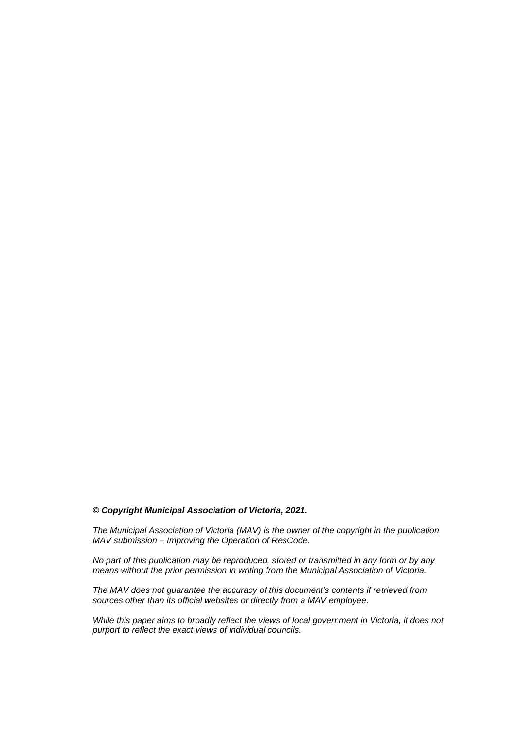#### *© Copyright Municipal Association of Victoria, 2021.*

*The Municipal Association of Victoria (MAV) is the owner of the copyright in the publication MAV submission – Improving the Operation of ResCode.* 

*No part of this publication may be reproduced, stored or transmitted in any form or by any means without the prior permission in writing from the Municipal Association of Victoria.* 

*The MAV does not guarantee the accuracy of this document's contents if retrieved from sources other than its official websites or directly from a MAV employee.*

*While this paper aims to broadly reflect the views of local government in Victoria, it does not purport to reflect the exact views of individual councils.*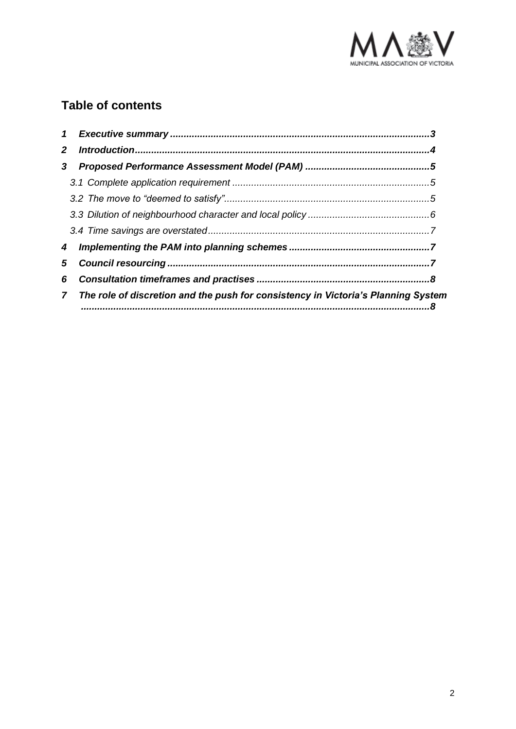

# **Table of contents**

| $\mathbf{2}$ |                                                                                                   |  |
|--------------|---------------------------------------------------------------------------------------------------|--|
| 3            |                                                                                                   |  |
|              |                                                                                                   |  |
|              |                                                                                                   |  |
|              |                                                                                                   |  |
|              |                                                                                                   |  |
| 4            |                                                                                                   |  |
| 5            |                                                                                                   |  |
|              |                                                                                                   |  |
|              | The role of discretion and the push for consistency in Victoria's Planning System<br>$\mathbf{7}$ |  |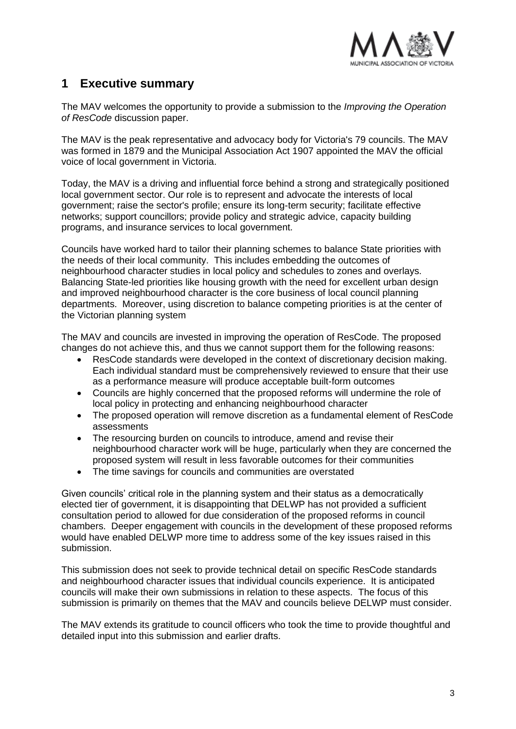

### <span id="page-3-0"></span>**1 Executive summary**

The MAV welcomes the opportunity to provide a submission to the *Improving the Operation of ResCode* discussion paper.

The MAV is the peak representative and advocacy body for Victoria's 79 councils. The MAV was formed in 1879 and the Municipal Association Act 1907 appointed the MAV the official voice of local government in Victoria.

Today, the MAV is a driving and influential force behind a strong and strategically positioned local government sector. Our role is to represent and advocate the interests of local government; raise the sector's profile; ensure its long-term security; facilitate effective networks; support councillors; provide policy and strategic advice, capacity building programs, and insurance services to local government.

Councils have worked hard to tailor their planning schemes to balance State priorities with the needs of their local community. This includes embedding the outcomes of neighbourhood character studies in local policy and schedules to zones and overlays. Balancing State-led priorities like housing growth with the need for excellent urban design and improved neighbourhood character is the core business of local council planning departments. Moreover, using discretion to balance competing priorities is at the center of the Victorian planning system

The MAV and councils are invested in improving the operation of ResCode. The proposed changes do not achieve this, and thus we cannot support them for the following reasons:

- ResCode standards were developed in the context of discretionary decision making. Each individual standard must be comprehensively reviewed to ensure that their use as a performance measure will produce acceptable built-form outcomes
- Councils are highly concerned that the proposed reforms will undermine the role of local policy in protecting and enhancing neighbourhood character
- The proposed operation will remove discretion as a fundamental element of ResCode assessments
- The resourcing burden on councils to introduce, amend and revise their neighbourhood character work will be huge, particularly when they are concerned the proposed system will result in less favorable outcomes for their communities
- The time savings for councils and communities are overstated

Given councils' critical role in the planning system and their status as a democratically elected tier of government, it is disappointing that DELWP has not provided a sufficient consultation period to allowed for due consideration of the proposed reforms in council chambers. Deeper engagement with councils in the development of these proposed reforms would have enabled DELWP more time to address some of the key issues raised in this submission.

This submission does not seek to provide technical detail on specific ResCode standards and neighbourhood character issues that individual councils experience. It is anticipated councils will make their own submissions in relation to these aspects. The focus of this submission is primarily on themes that the MAV and councils believe DELWP must consider.

The MAV extends its gratitude to council officers who took the time to provide thoughtful and detailed input into this submission and earlier drafts.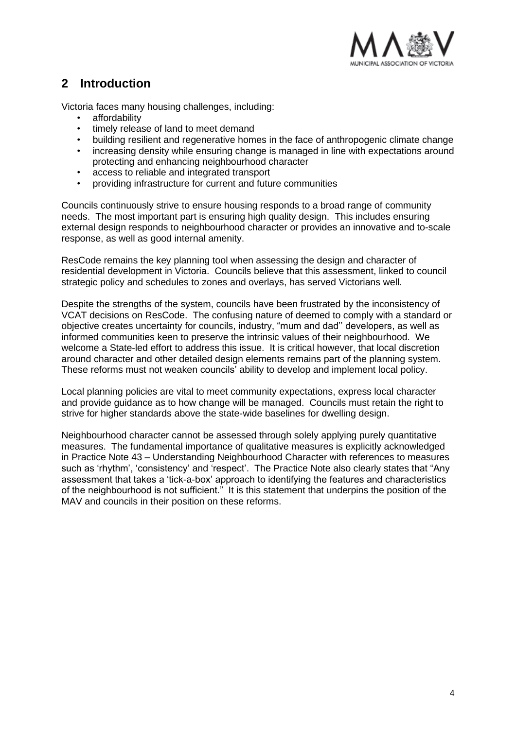

# <span id="page-4-0"></span>**2 Introduction**

Victoria faces many housing challenges, including:

- affordability
- timely release of land to meet demand
- building resilient and regenerative homes in the face of anthropogenic climate change
- increasing density while ensuring change is managed in line with expectations around protecting and enhancing neighbourhood character
- access to reliable and integrated transport
- providing infrastructure for current and future communities

Councils continuously strive to ensure housing responds to a broad range of community needs. The most important part is ensuring high quality design. This includes ensuring external design responds to neighbourhood character or provides an innovative and to-scale response, as well as good internal amenity.

ResCode remains the key planning tool when assessing the design and character of residential development in Victoria. Councils believe that this assessment, linked to council strategic policy and schedules to zones and overlays, has served Victorians well.

Despite the strengths of the system, councils have been frustrated by the inconsistency of VCAT decisions on ResCode. The confusing nature of deemed to comply with a standard or objective creates uncertainty for councils, industry, "mum and dad'' developers, as well as informed communities keen to preserve the intrinsic values of their neighbourhood. We welcome a State-led effort to address this issue. It is critical however, that local discretion around character and other detailed design elements remains part of the planning system. These reforms must not weaken councils' ability to develop and implement local policy.

Local planning policies are vital to meet community expectations, express local character and provide guidance as to how change will be managed. Councils must retain the right to strive for higher standards above the state-wide baselines for dwelling design.

Neighbourhood character cannot be assessed through solely applying purely quantitative measures. The fundamental importance of qualitative measures is explicitly acknowledged in Practice Note 43 – Understanding Neighbourhood Character with references to measures such as 'rhythm', 'consistency' and 'respect'. The Practice Note also clearly states that "Any assessment that takes a 'tick-a-box' approach to identifying the features and characteristics of the neighbourhood is not sufficient." It is this statement that underpins the position of the MAV and councils in their position on these reforms.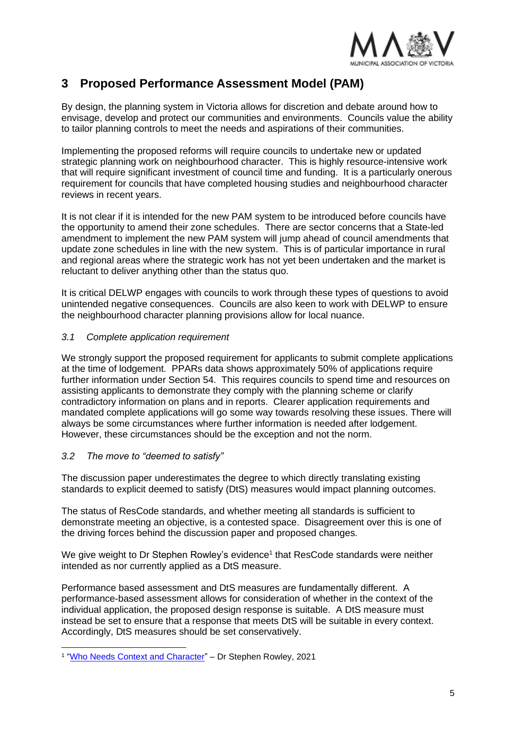

## <span id="page-5-0"></span>**3 Proposed Performance Assessment Model (PAM)**

By design, the planning system in Victoria allows for discretion and debate around how to envisage, develop and protect our communities and environments. Councils value the ability to tailor planning controls to meet the needs and aspirations of their communities.

Implementing the proposed reforms will require councils to undertake new or updated strategic planning work on neighbourhood character. This is highly resource-intensive work that will require significant investment of council time and funding. It is a particularly onerous requirement for councils that have completed housing studies and neighbourhood character reviews in recent years.

It is not clear if it is intended for the new PAM system to be introduced before councils have the opportunity to amend their zone schedules. There are sector concerns that a State-led amendment to implement the new PAM system will jump ahead of council amendments that update zone schedules in line with the new system. This is of particular importance in rural and regional areas where the strategic work has not yet been undertaken and the market is reluctant to deliver anything other than the status quo.

It is critical DELWP engages with councils to work through these types of questions to avoid unintended negative consequences. Councils are also keen to work with DELWP to ensure the neighbourhood character planning provisions allow for local nuance.

#### <span id="page-5-1"></span>*3.1 Complete application requirement*

We strongly support the proposed requirement for applicants to submit complete applications at the time of lodgement. PPARs data shows approximately 50% of applications require further information under Section 54. This requires councils to spend time and resources on assisting applicants to demonstrate they comply with the planning scheme or clarify contradictory information on plans and in reports. Clearer application requirements and mandated complete applications will go some way towards resolving these issues. There will always be some circumstances where further information is needed after lodgement. However, these circumstances should be the exception and not the norm.

#### <span id="page-5-2"></span>*3.2 The move to "deemed to satisfy"*

The discussion paper underestimates the degree to which directly translating existing standards to explicit deemed to satisfy (DtS) measures would impact planning outcomes.

The status of ResCode standards, and whether meeting all standards is sufficient to demonstrate meeting an objective, is a contested space. Disagreement over this is one of the driving forces behind the discussion paper and proposed changes.

We give weight to Dr Stephen Rowley's evidence<sup>1</sup> that ResCode standards were neither intended as nor currently applied as a DtS measure.

Performance based assessment and DtS measures are fundamentally different. A performance-based assessment allows for consideration of whether in the context of the individual application, the proposed design response is suitable. A DtS measure must instead be set to ensure that a response that meets DtS will be suitable in every context. Accordingly, DtS measures should be set conservatively.

<sup>&</sup>lt;sup>1</sup> "Who Needs Context and Character" – Dr Stephen Rowley, 2021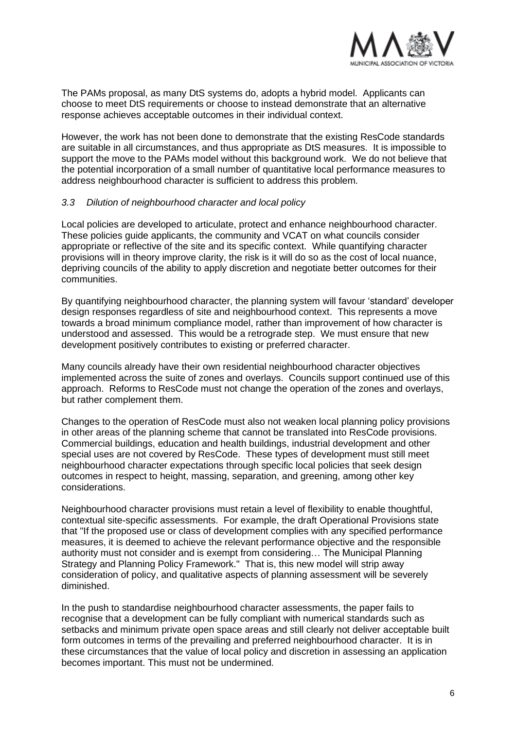

The PAMs proposal, as many DtS systems do, adopts a hybrid model. Applicants can choose to meet DtS requirements or choose to instead demonstrate that an alternative response achieves acceptable outcomes in their individual context.

However, the work has not been done to demonstrate that the existing ResCode standards are suitable in all circumstances, and thus appropriate as DtS measures. It is impossible to support the move to the PAMs model without this background work. We do not believe that the potential incorporation of a small number of quantitative local performance measures to address neighbourhood character is sufficient to address this problem.

#### <span id="page-6-0"></span>*3.3 Dilution of neighbourhood character and local policy*

Local policies are developed to articulate, protect and enhance neighbourhood character. These policies guide applicants, the community and VCAT on what councils consider appropriate or reflective of the site and its specific context. While quantifying character provisions will in theory improve clarity, the risk is it will do so as the cost of local nuance, depriving councils of the ability to apply discretion and negotiate better outcomes for their communities.

By quantifying neighbourhood character, the planning system will favour 'standard' developer design responses regardless of site and neighbourhood context. This represents a move towards a broad minimum compliance model, rather than improvement of how character is understood and assessed. This would be a retrograde step. We must ensure that new development positively contributes to existing or preferred character.

Many councils already have their own residential neighbourhood character objectives implemented across the suite of zones and overlays. Councils support continued use of this approach. Reforms to ResCode must not change the operation of the zones and overlays, but rather complement them.

Changes to the operation of ResCode must also not weaken local planning policy provisions in other areas of the planning scheme that cannot be translated into ResCode provisions. Commercial buildings, education and health buildings, industrial development and other special uses are not covered by ResCode. These types of development must still meet neighbourhood character expectations through specific local policies that seek design outcomes in respect to height, massing, separation, and greening, among other key considerations.

Neighbourhood character provisions must retain a level of flexibility to enable thoughtful, contextual site-specific assessments. For example, the draft Operational Provisions state that "If the proposed use or class of development complies with any specified performance measures, it is deemed to achieve the relevant performance objective and the responsible authority must not consider and is exempt from considering… The Municipal Planning Strategy and Planning Policy Framework." That is, this new model will strip away consideration of policy, and qualitative aspects of planning assessment will be severely diminished.

In the push to standardise neighbourhood character assessments, the paper fails to recognise that a development can be fully compliant with numerical standards such as setbacks and minimum private open space areas and still clearly not deliver acceptable built form outcomes in terms of the prevailing and preferred neighbourhood character. It is in these circumstances that the value of local policy and discretion in assessing an application becomes important. This must not be undermined.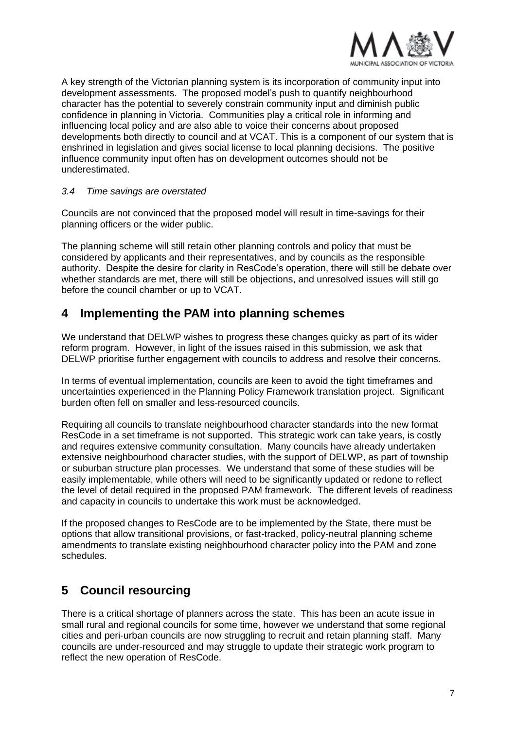

A key strength of the Victorian planning system is its incorporation of community input into development assessments. The proposed model's push to quantify neighbourhood character has the potential to severely constrain community input and diminish public confidence in planning in Victoria. Communities play a critical role in informing and influencing local policy and are also able to voice their concerns about proposed developments both directly to council and at VCAT. This is a component of our system that is enshrined in legislation and gives social license to local planning decisions. The positive influence community input often has on development outcomes should not be underestimated.

#### <span id="page-7-0"></span>*3.4 Time savings are overstated*

Councils are not convinced that the proposed model will result in time-savings for their planning officers or the wider public.

The planning scheme will still retain other planning controls and policy that must be considered by applicants and their representatives, and by councils as the responsible authority. Despite the desire for clarity in ResCode's operation, there will still be debate over whether standards are met, there will still be objections, and unresolved issues will still go before the council chamber or up to VCAT.

### <span id="page-7-1"></span>**4 Implementing the PAM into planning schemes**

We understand that DELWP wishes to progress these changes quicky as part of its wider reform program. However, in light of the issues raised in this submission, we ask that DELWP prioritise further engagement with councils to address and resolve their concerns.

In terms of eventual implementation, councils are keen to avoid the tight timeframes and uncertainties experienced in the Planning Policy Framework translation project. Significant burden often fell on smaller and less-resourced councils.

Requiring all councils to translate neighbourhood character standards into the new format ResCode in a set timeframe is not supported. This strategic work can take years, is costly and requires extensive community consultation. Many councils have already undertaken extensive neighbourhood character studies, with the support of DELWP, as part of township or suburban structure plan processes. We understand that some of these studies will be easily implementable, while others will need to be significantly updated or redone to reflect the level of detail required in the proposed PAM framework. The different levels of readiness and capacity in councils to undertake this work must be acknowledged.

If the proposed changes to ResCode are to be implemented by the State, there must be options that allow transitional provisions, or fast-tracked, policy-neutral planning scheme amendments to translate existing neighbourhood character policy into the PAM and zone schedules.

# <span id="page-7-2"></span>**5 Council resourcing**

There is a critical shortage of planners across the state. This has been an acute issue in small rural and regional councils for some time, however we understand that some regional cities and peri-urban councils are now struggling to recruit and retain planning staff. Many councils are under-resourced and may struggle to update their strategic work program to reflect the new operation of ResCode.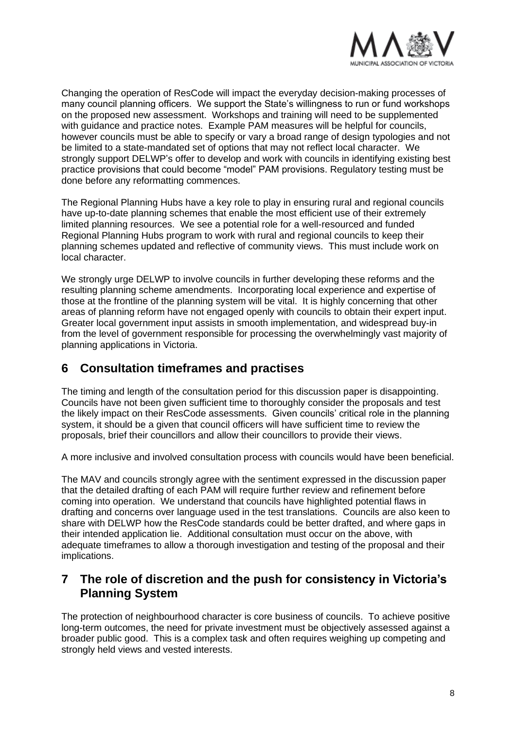

Changing the operation of ResCode will impact the everyday decision-making processes of many council planning officers. We support the State's willingness to run or fund workshops on the proposed new assessment. Workshops and training will need to be supplemented with guidance and practice notes. Example PAM measures will be helpful for councils, however councils must be able to specify or vary a broad range of design typologies and not be limited to a state-mandated set of options that may not reflect local character. We strongly support DELWP's offer to develop and work with councils in identifying existing best practice provisions that could become "model" PAM provisions. Regulatory testing must be done before any reformatting commences.

The Regional Planning Hubs have a key role to play in ensuring rural and regional councils have up-to-date planning schemes that enable the most efficient use of their extremely limited planning resources. We see a potential role for a well-resourced and funded Regional Planning Hubs program to work with rural and regional councils to keep their planning schemes updated and reflective of community views. This must include work on local character.

We strongly urge DELWP to involve councils in further developing these reforms and the resulting planning scheme amendments. Incorporating local experience and expertise of those at the frontline of the planning system will be vital. It is highly concerning that other areas of planning reform have not engaged openly with councils to obtain their expert input. Greater local government input assists in smooth implementation, and widespread buy-in from the level of government responsible for processing the overwhelmingly vast majority of planning applications in Victoria.

### <span id="page-8-0"></span>**6 Consultation timeframes and practises**

The timing and length of the consultation period for this discussion paper is disappointing. Councils have not been given sufficient time to thoroughly consider the proposals and test the likely impact on their ResCode assessments. Given councils' critical role in the planning system, it should be a given that council officers will have sufficient time to review the proposals, brief their councillors and allow their councillors to provide their views.

A more inclusive and involved consultation process with councils would have been beneficial.

The MAV and councils strongly agree with the sentiment expressed in the discussion paper that the detailed drafting of each PAM will require further review and refinement before coming into operation. We understand that councils have highlighted potential flaws in drafting and concerns over language used in the test translations. Councils are also keen to share with DELWP how the ResCode standards could be better drafted, and where gaps in their intended application lie. Additional consultation must occur on the above, with adequate timeframes to allow a thorough investigation and testing of the proposal and their implications.

### <span id="page-8-1"></span>**7 The role of discretion and the push for consistency in Victoria's Planning System**

The protection of neighbourhood character is core business of councils. To achieve positive long-term outcomes, the need for private investment must be objectively assessed against a broader public good. This is a complex task and often requires weighing up competing and strongly held views and vested interests.